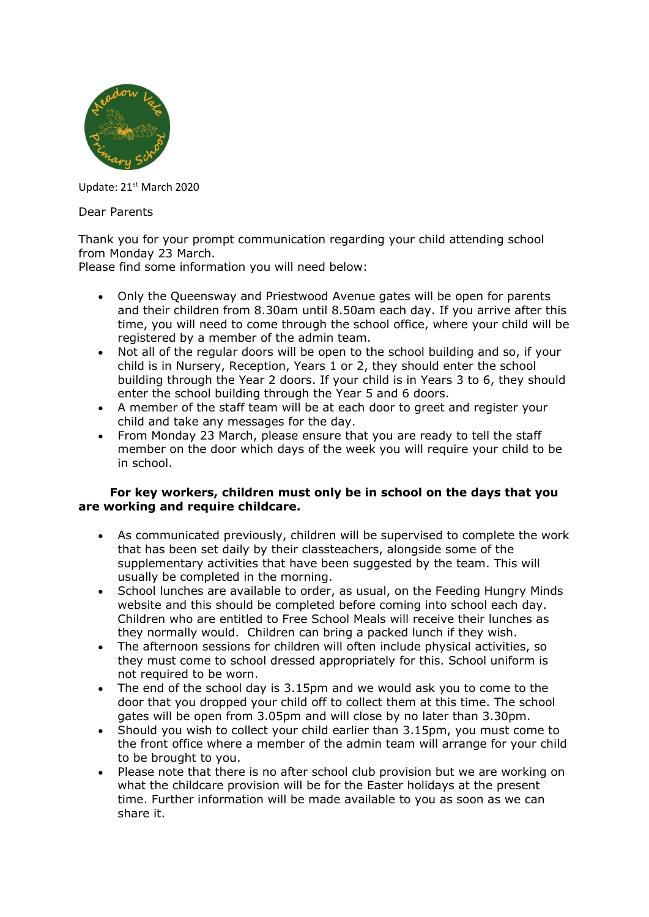

Update: 21<sup>st</sup> March 2020

Dear Parents

Thank you for your prompt communication regarding your child attending school from Monday 23 March.

Please find some information you will need below:

- Only the Queensway and Priestwood Avenue gates will be open for parents and their children from 8.30am until 8.50am each day. If you arrive after this time, you will need to come through the school office, where your child will be registered by a member of the admin team.
- Not all of the regular doors will be open to the school building and so, if your child is in Nursery, Reception, Years 1 or 2, they should enter the school building through the Year 2 doors. If your child is in Years 3 to 6, they should enter the school building through the Year 5 and 6 doors.
- A member of the staff team will be at each door to greet and register your child and take any messages for the day.
- From Monday 23 March, please ensure that you are ready to tell the staff member on the door which days of the week you will require your child to be in school.

## **For key workers, children must only be in school on the days that you are working and require childcare.**

- As communicated previously, children will be supervised to complete the work that has been set daily by their classteachers, alongside some of the supplementary activities that have been suggested by the team. This will usually be completed in the morning.
- School lunches are available to order, as usual, on the Feeding Hungry Minds website and this should be completed before coming into school each day. Children who are entitled to Free School Meals will receive their lunches as they normally would. Children can bring a packed lunch if they wish.
- The afternoon sessions for children will often include physical activities, so they must come to school dressed appropriately for this. School uniform is not required to be worn.
- The end of the school day is 3.15pm and we would ask you to come to the door that you dropped your child off to collect them at this time. The school gates will be open from 3.05pm and will close by no later than 3.30pm.
- Should you wish to collect your child earlier than 3.15pm, you must come to the front office where a member of the admin team will arrange for your child to be brought to you.
- Please note that there is no after school club provision but we are working on what the childcare provision will be for the Easter holidays at the present time. Further information will be made available to you as soon as we can share it.